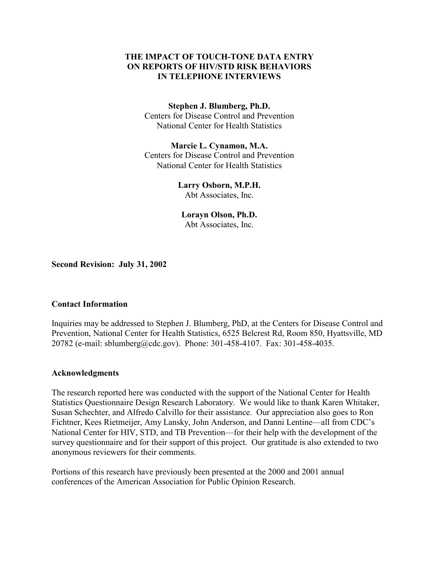# **THE IMPACT OF TOUCH-TONE DATA ENTRY ON REPORTS OF HIV/STD RISK BEHAVIORS IN TELEPHONE INTERVIEWS**

### **Stephen J. Blumberg, Ph.D.**

Centers for Disease Control and Prevention National Center for Health Statistics

**Marcie L. Cynamon, M.A.**  Centers for Disease Control and Prevention National Center for Health Statistics

# **Larry Osborn, M.P.H.**

Abt Associates, Inc.

**Lorayn Olson, Ph.D.**  Abt Associates, Inc.

**Second Revision: July 31, 2002** 

# **Contact Information**

Inquiries may be addressed to Stephen J. Blumberg, PhD, at the Centers for Disease Control and Prevention, National Center for Health Statistics, 6525 Belcrest Rd, Room 850, Hyattsville, MD 20782 (e-mail: sblumberg@cdc.gov). Phone: 301-458-4107. Fax: 301-458-4035.

## **Acknowledgments**

The research reported here was conducted with the support of the National Center for Health Statistics Questionnaire Design Research Laboratory. We would like to thank Karen Whitaker, Susan Schechter, and Alfredo Calvillo for their assistance. Our appreciation also goes to Ron Fichtner, Kees Rietmeijer, Amy Lansky, John Anderson, and Danni Lentine—all from CDC's National Center for HIV, STD, and TB Prevention—for their help with the development of the survey questionnaire and for their support of this project. Our gratitude is also extended to two anonymous reviewers for their comments.

Portions of this research have previously been presented at the 2000 and 2001 annual conferences of the American Association for Public Opinion Research.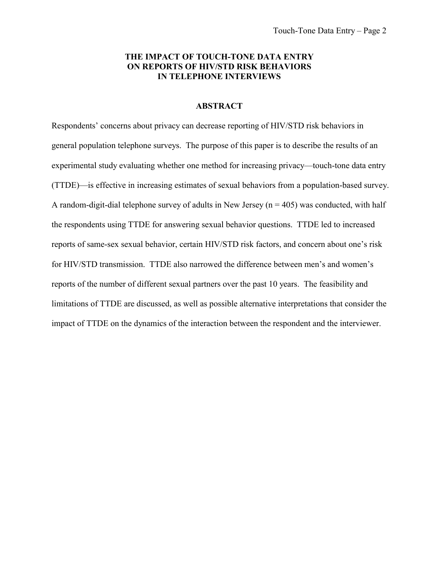## **THE IMPACT OF TOUCH-TONE DATA ENTRY ON REPORTS OF HIV/STD RISK BEHAVIORS IN TELEPHONE INTERVIEWS**

## **ABSTRACT**

Respondents' concerns about privacy can decrease reporting of HIV/STD risk behaviors in general population telephone surveys. The purpose of this paper is to describe the results of an experimental study evaluating whether one method for increasing privacy—touch-tone data entry (TTDE)—is effective in increasing estimates of sexual behaviors from a population-based survey. A random-digit-dial telephone survey of adults in New Jersey ( $n = 405$ ) was conducted, with half the respondents using TTDE for answering sexual behavior questions. TTDE led to increased reports of same-sex sexual behavior, certain HIV/STD risk factors, and concern about one's risk for HIV/STD transmission. TTDE also narrowed the difference between men's and women's reports of the number of different sexual partners over the past 10 years. The feasibility and limitations of TTDE are discussed, as well as possible alternative interpretations that consider the impact of TTDE on the dynamics of the interaction between the respondent and the interviewer.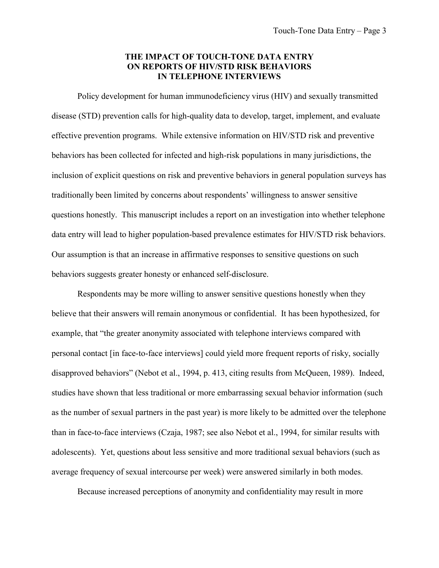### **THE IMPACT OF TOUCH-TONE DATA ENTRY ON REPORTS OF HIV/STD RISK BEHAVIORS IN TELEPHONE INTERVIEWS**

Policy development for human immunodeficiency virus (HIV) and sexually transmitted disease (STD) prevention calls for high-quality data to develop, target, implement, and evaluate effective prevention programs. While extensive information on HIV/STD risk and preventive behaviors has been collected for infected and high-risk populations in many jurisdictions, the inclusion of explicit questions on risk and preventive behaviors in general population surveys has traditionally been limited by concerns about respondents' willingness to answer sensitive questions honestly. This manuscript includes a report on an investigation into whether telephone data entry will lead to higher population-based prevalence estimates for HIV/STD risk behaviors. Our assumption is that an increase in affirmative responses to sensitive questions on such behaviors suggests greater honesty or enhanced self-disclosure.

Respondents may be more willing to answer sensitive questions honestly when they believe that their answers will remain anonymous or confidential. It has been hypothesized, for example, that "the greater anonymity associated with telephone interviews compared with personal contact [in face-to-face interviews] could yield more frequent reports of risky, socially disapproved behaviors" (Nebot et al., 1994, p. 413, citing results from McQueen, 1989). Indeed, studies have shown that less traditional or more embarrassing sexual behavior information (such as the number of sexual partners in the past year) is more likely to be admitted over the telephone than in face-to-face interviews (Czaja, 1987; see also Nebot et al., 1994, for similar results with adolescents). Yet, questions about less sensitive and more traditional sexual behaviors (such as average frequency of sexual intercourse per week) were answered similarly in both modes.

Because increased perceptions of anonymity and confidentiality may result in more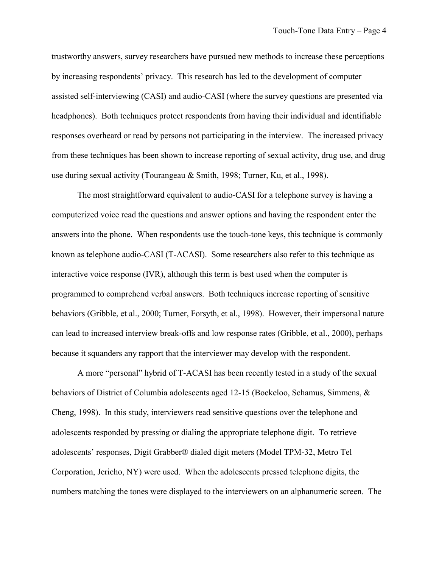trustworthy answers, survey researchers have pursued new methods to increase these perceptions by increasing respondents' privacy. This research has led to the development of computer assisted self-interviewing (CASI) and audio-CASI (where the survey questions are presented via headphones). Both techniques protect respondents from having their individual and identifiable responses overheard or read by persons not participating in the interview. The increased privacy from these techniques has been shown to increase reporting of sexual activity, drug use, and drug use during sexual activity (Tourangeau & Smith, 1998; Turner, Ku, et al., 1998).

The most straightforward equivalent to audio-CASI for a telephone survey is having a computerized voice read the questions and answer options and having the respondent enter the answers into the phone. When respondents use the touch-tone keys, this technique is commonly known as telephone audio-CASI (T-ACASI). Some researchers also refer to this technique as interactive voice response (IVR), although this term is best used when the computer is programmed to comprehend verbal answers. Both techniques increase reporting of sensitive behaviors (Gribble, et al., 2000; Turner, Forsyth, et al., 1998). However, their impersonal nature can lead to increased interview break-offs and low response rates (Gribble, et al., 2000), perhaps because it squanders any rapport that the interviewer may develop with the respondent.

A more "personal" hybrid of T-ACASI has been recently tested in a study of the sexual behaviors of District of Columbia adolescents aged 12-15 (Boekeloo, Schamus, Simmens, & Cheng, 1998). In this study, interviewers read sensitive questions over the telephone and adolescents responded by pressing or dialing the appropriate telephone digit. To retrieve adolescents' responses, Digit Grabber® dialed digit meters (Model TPM-32, Metro Tel Corporation, Jericho, NY) were used. When the adolescents pressed telephone digits, the numbers matching the tones were displayed to the interviewers on an alphanumeric screen. The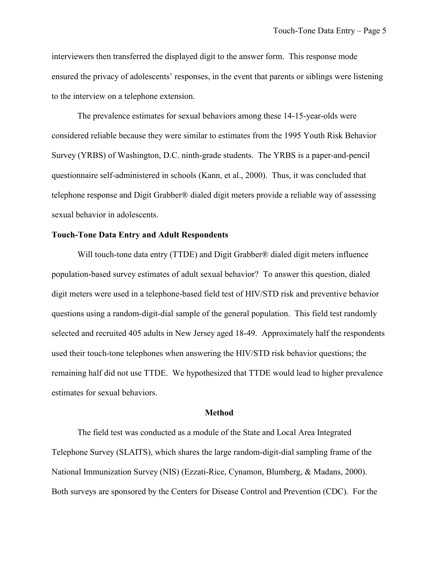interviewers then transferred the displayed digit to the answer form. This response mode ensured the privacy of adolescents' responses, in the event that parents or siblings were listening to the interview on a telephone extension.

The prevalence estimates for sexual behaviors among these 14-15-year-olds were considered reliable because they were similar to estimates from the 1995 Youth Risk Behavior Survey (YRBS) of Washington, D.C. ninth-grade students. The YRBS is a paper-and-pencil questionnaire self-administered in schools (Kann, et al., 2000). Thus, it was concluded that telephone response and Digit Grabber® dialed digit meters provide a reliable way of assessing sexual behavior in adolescents.

### **Touch-Tone Data Entry and Adult Respondents**

Will touch-tone data entry (TTDE) and Digit Grabber<sup>®</sup> dialed digit meters influence population-based survey estimates of adult sexual behavior? To answer this question, dialed digit meters were used in a telephone-based field test of HIV/STD risk and preventive behavior questions using a random-digit-dial sample of the general population. This field test randomly selected and recruited 405 adults in New Jersey aged 18-49. Approximately half the respondents used their touch-tone telephones when answering the HIV/STD risk behavior questions; the remaining half did not use TTDE. We hypothesized that TTDE would lead to higher prevalence estimates for sexual behaviors.

#### **Method**

The field test was conducted as a module of the State and Local Area Integrated Telephone Survey (SLAITS), which shares the large random-digit-dial sampling frame of the National Immunization Survey (NIS) (Ezzati-Rice, Cynamon, Blumberg, & Madans, 2000). Both surveys are sponsored by the Centers for Disease Control and Prevention (CDC). For the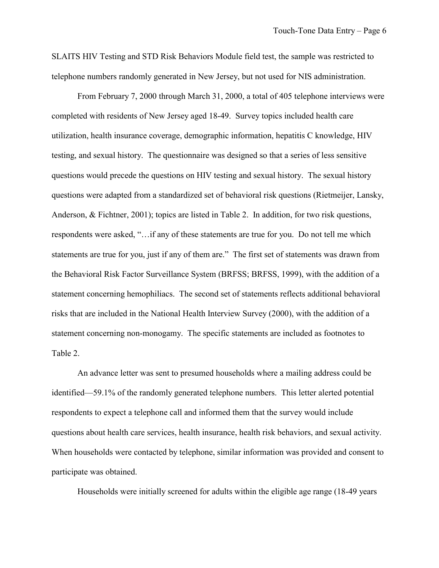SLAITS HIV Testing and STD Risk Behaviors Module field test, the sample was restricted to telephone numbers randomly generated in New Jersey, but not used for NIS administration.

From February 7, 2000 through March 31, 2000, a total of 405 telephone interviews were completed with residents of New Jersey aged 18-49. Survey topics included health care utilization, health insurance coverage, demographic information, hepatitis C knowledge, HIV testing, and sexual history. The questionnaire was designed so that a series of less sensitive questions would precede the questions on HIV testing and sexual history. The sexual history questions were adapted from a standardized set of behavioral risk questions (Rietmeijer, Lansky, Anderson, & Fichtner, 2001); topics are listed in Table 2. In addition, for two risk questions, respondents were asked, "…if any of these statements are true for you. Do not tell me which statements are true for you, just if any of them are." The first set of statements was drawn from the Behavioral Risk Factor Surveillance System (BRFSS; BRFSS, 1999), with the addition of a statement concerning hemophiliacs. The second set of statements reflects additional behavioral risks that are included in the National Health Interview Survey (2000), with the addition of a statement concerning non-monogamy. The specific statements are included as footnotes to Table 2.

An advance letter was sent to presumed households where a mailing address could be identified—59.1% of the randomly generated telephone numbers. This letter alerted potential respondents to expect a telephone call and informed them that the survey would include questions about health care services, health insurance, health risk behaviors, and sexual activity. When households were contacted by telephone, similar information was provided and consent to participate was obtained.

Households were initially screened for adults within the eligible age range (18-49 years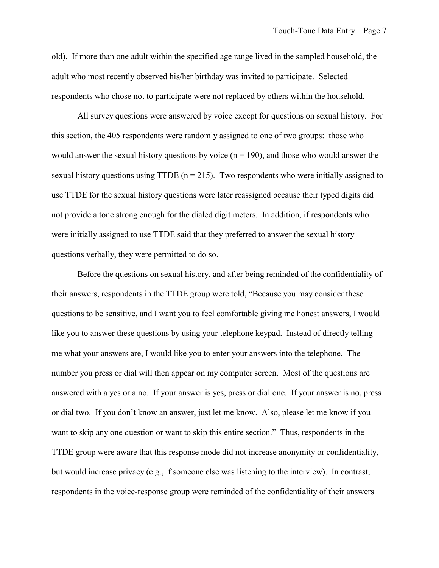old). If more than one adult within the specified age range lived in the sampled household, the adult who most recently observed his/her birthday was invited to participate. Selected respondents who chose not to participate were not replaced by others within the household.

All survey questions were answered by voice except for questions on sexual history. For this section, the 405 respondents were randomly assigned to one of two groups: those who would answer the sexual history questions by voice  $(n = 190)$ , and those who would answer the sexual history questions using TTDE ( $n = 215$ ). Two respondents who were initially assigned to use TTDE for the sexual history questions were later reassigned because their typed digits did not provide a tone strong enough for the dialed digit meters. In addition, if respondents who were initially assigned to use TTDE said that they preferred to answer the sexual history questions verbally, they were permitted to do so.

Before the questions on sexual history, and after being reminded of the confidentiality of their answers, respondents in the TTDE group were told, "Because you may consider these questions to be sensitive, and I want you to feel comfortable giving me honest answers, I would like you to answer these questions by using your telephone keypad. Instead of directly telling me what your answers are, I would like you to enter your answers into the telephone. The number you press or dial will then appear on my computer screen. Most of the questions are answered with a yes or a no. If your answer is yes, press or dial one. If your answer is no, press or dial two. If you don't know an answer, just let me know. Also, please let me know if you want to skip any one question or want to skip this entire section." Thus, respondents in the TTDE group were aware that this response mode did not increase anonymity or confidentiality, but would increase privacy (e.g., if someone else was listening to the interview). In contrast, respondents in the voice-response group were reminded of the confidentiality of their answers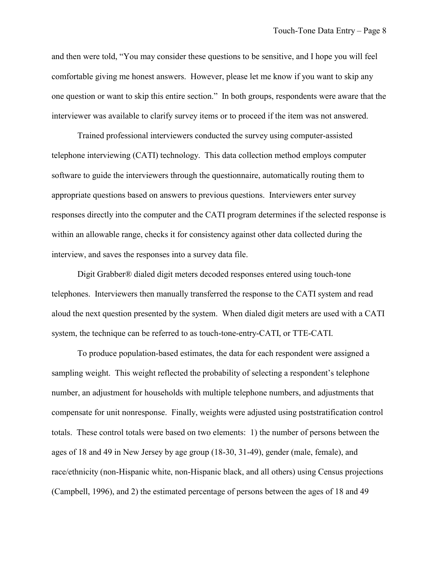and then were told, "You may consider these questions to be sensitive, and I hope you will feel comfortable giving me honest answers. However, please let me know if you want to skip any one question or want to skip this entire section." In both groups, respondents were aware that the interviewer was available to clarify survey items or to proceed if the item was not answered.

Trained professional interviewers conducted the survey using computer-assisted telephone interviewing (CATI) technology. This data collection method employs computer software to guide the interviewers through the questionnaire, automatically routing them to appropriate questions based on answers to previous questions. Interviewers enter survey responses directly into the computer and the CATI program determines if the selected response is within an allowable range, checks it for consistency against other data collected during the interview, and saves the responses into a survey data file.

Digit Grabber® dialed digit meters decoded responses entered using touch-tone telephones. Interviewers then manually transferred the response to the CATI system and read aloud the next question presented by the system. When dialed digit meters are used with a CATI system, the technique can be referred to as touch-tone-entry-CATI, or TTE-CATI.

To produce population-based estimates, the data for each respondent were assigned a sampling weight. This weight reflected the probability of selecting a respondent's telephone number, an adjustment for households with multiple telephone numbers, and adjustments that compensate for unit nonresponse. Finally, weights were adjusted using poststratification control totals. These control totals were based on two elements: 1) the number of persons between the ages of 18 and 49 in New Jersey by age group (18-30, 31-49), gender (male, female), and race/ethnicity (non-Hispanic white, non-Hispanic black, and all others) using Census projections (Campbell, 1996), and 2) the estimated percentage of persons between the ages of 18 and 49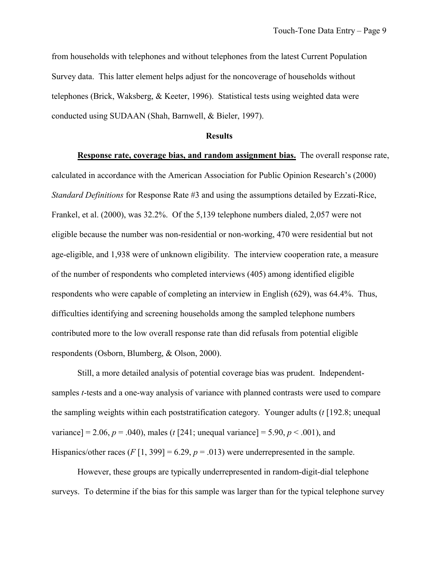from households with telephones and without telephones from the latest Current Population Survey data. This latter element helps adjust for the noncoverage of households without telephones (Brick, Waksberg, & Keeter, 1996). Statistical tests using weighted data were conducted using SUDAAN (Shah, Barnwell, & Bieler, 1997).

### **Results**

**Response rate, coverage bias, and random assignment bias.** The overall response rate, calculated in accordance with the American Association for Public Opinion Research's (2000) *Standard Definitions* for Response Rate #3 and using the assumptions detailed by Ezzati-Rice, Frankel, et al. (2000), was 32.2%. Of the 5,139 telephone numbers dialed, 2,057 were not eligible because the number was non-residential or non-working, 470 were residential but not age-eligible, and 1,938 were of unknown eligibility. The interview cooperation rate, a measure of the number of respondents who completed interviews (405) among identified eligible respondents who were capable of completing an interview in English (629), was 64.4%. Thus, difficulties identifying and screening households among the sampled telephone numbers contributed more to the low overall response rate than did refusals from potential eligible respondents (Osborn, Blumberg, & Olson, 2000).

Still, a more detailed analysis of potential coverage bias was prudent. Independentsamples *t*-tests and a one-way analysis of variance with planned contrasts were used to compare the sampling weights within each poststratification category. Younger adults (*t* [192.8; unequal variance] = 2.06,  $p = .040$ , males (*t* [241; unequal variance] = 5.90,  $p < .001$ ), and Hispanics/other races  $(F[1, 399] = 6.29, p = .013)$  were underrepresented in the sample.

However, these groups are typically underrepresented in random-digit-dial telephone surveys. To determine if the bias for this sample was larger than for the typical telephone survey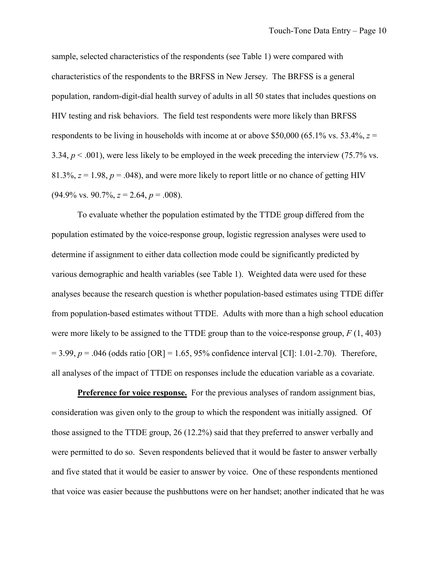sample, selected characteristics of the respondents (see Table 1) were compared with characteristics of the respondents to the BRFSS in New Jersey. The BRFSS is a general population, random-digit-dial health survey of adults in all 50 states that includes questions on HIV testing and risk behaviors. The field test respondents were more likely than BRFSS respondents to be living in households with income at or above \$50,000 (65.1% vs. 53.4%,  $z =$ 3.34,  $p < .001$ ), were less likely to be employed in the week preceding the interview (75.7% vs. 81.3%,  $z = 1.98$ ,  $p = 0.048$ ), and were more likely to report little or no chance of getting HIV  $(94.9\% \text{ vs. } 90.7\%, z = 2.64, p = .008).$ 

To evaluate whether the population estimated by the TTDE group differed from the population estimated by the voice-response group, logistic regression analyses were used to determine if assignment to either data collection mode could be significantly predicted by various demographic and health variables (see Table 1). Weighted data were used for these analyses because the research question is whether population-based estimates using TTDE differ from population-based estimates without TTDE. Adults with more than a high school education were more likely to be assigned to the TTDE group than to the voice-response group, *F* (1, 403)  $= 3.99, p = .046$  (odds ratio [OR]  $= 1.65, 95\%$  confidence interval [CI]: 1.01-2.70). Therefore, all analyses of the impact of TTDE on responses include the education variable as a covariate.

**Preference for voice response.** For the previous analyses of random assignment bias, consideration was given only to the group to which the respondent was initially assigned. Of those assigned to the TTDE group, 26 (12.2%) said that they preferred to answer verbally and were permitted to do so. Seven respondents believed that it would be faster to answer verbally and five stated that it would be easier to answer by voice. One of these respondents mentioned that voice was easier because the pushbuttons were on her handset; another indicated that he was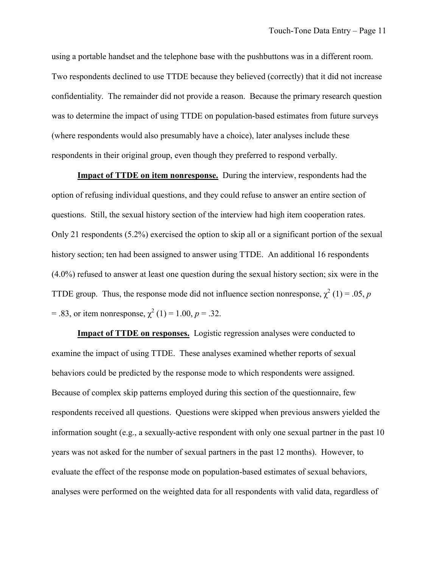using a portable handset and the telephone base with the pushbuttons was in a different room. Two respondents declined to use TTDE because they believed (correctly) that it did not increase confidentiality. The remainder did not provide a reason. Because the primary research question was to determine the impact of using TTDE on population-based estimates from future surveys (where respondents would also presumably have a choice), later analyses include these respondents in their original group, even though they preferred to respond verbally.

**Impact of TTDE on item nonresponse.** During the interview, respondents had the option of refusing individual questions, and they could refuse to answer an entire section of questions. Still, the sexual history section of the interview had high item cooperation rates. Only 21 respondents (5.2%) exercised the option to skip all or a significant portion of the sexual history section; ten had been assigned to answer using TTDE. An additional 16 respondents (4.0%) refused to answer at least one question during the sexual history section; six were in the TTDE group. Thus, the response mode did not influence section nonresponse,  $\chi^2(1) = .05$ , *p* = .83, or item nonresponse,  $\chi^2$  (1) = 1.00, *p* = .32.

**Impact of TTDE on responses.** Logistic regression analyses were conducted to examine the impact of using TTDE. These analyses examined whether reports of sexual behaviors could be predicted by the response mode to which respondents were assigned. Because of complex skip patterns employed during this section of the questionnaire, few respondents received all questions. Questions were skipped when previous answers yielded the information sought (e.g., a sexually-active respondent with only one sexual partner in the past 10 years was not asked for the number of sexual partners in the past 12 months). However, to evaluate the effect of the response mode on population-based estimates of sexual behaviors, analyses were performed on the weighted data for all respondents with valid data, regardless of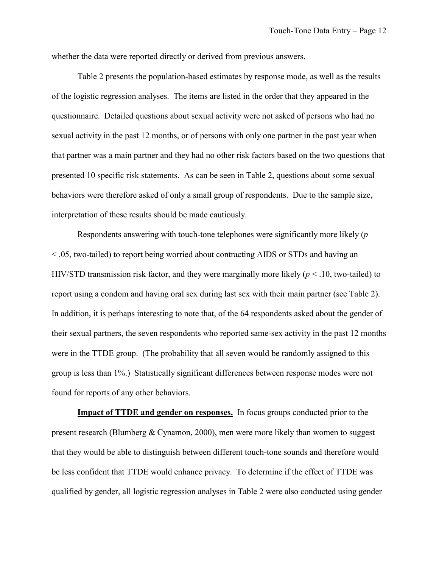whether the data were reported directly or derived from previous answers.

Table 2 presents the population-based estimates by response mode, as well as the results of the logistic regression analyses. The items are listed in the order that they appeared in the questionnaire. Detailed questions about sexual activity were not asked of persons who had no sexual activity in the past 12 months, or of persons with only one partner in the past year when that partner was a main partner and they had no other risk factors based on the two questions that presented 10 specific risk statements. As can be seen in Table 2, questions about some sexual behaviors were therefore asked of only a small group of respondents. Due to the sample size, interpretation of these results should be made cautiously.

Respondents answering with touch-tone telephones were significantly more likely (*p*  < .05, two-tailed) to report being worried about contracting AIDS or STDs and having an HIV/STD transmission risk factor, and they were marginally more likely (*p* < .10, two-tailed) to report using a condom and having oral sex during last sex with their main partner (see Table 2). In addition, it is perhaps interesting to note that, of the 64 respondents asked about the gender of their sexual partners, the seven respondents who reported same-sex activity in the past 12 months were in the TTDE group. (The probability that all seven would be randomly assigned to this group is less than 1%.) Statistically significant differences between response modes were not found for reports of any other behaviors.

**Impact of TTDE and gender on responses.** In focus groups conducted prior to the present research (Blumberg & Cynamon, 2000), men were more likely than women to suggest that they would be able to distinguish between different touch-tone sounds and therefore would be less confident that TTDE would enhance privacy. To determine if the effect of TTDE was qualified by gender, all logistic regression analyses in Table 2 were also conducted using gender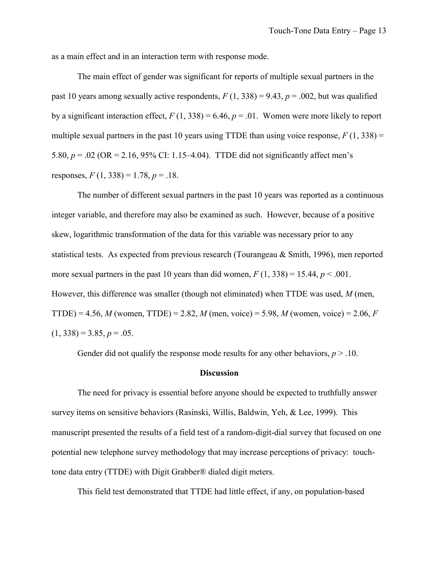as a main effect and in an interaction term with response mode.

The main effect of gender was significant for reports of multiple sexual partners in the past 10 years among sexually active respondents,  $F(1, 338) = 9.43$ ,  $p = .002$ , but was qualified by a significant interaction effect,  $F(1, 338) = 6.46$ ,  $p = .01$ . Women were more likely to report multiple sexual partners in the past 10 years using TTDE than using voice response,  $F(1, 338) =$ 5.80, *p* = .02 (OR = 2.16, 95% CI: 1.15–4.04). TTDE did not significantly affect men's responses,  $F(1, 338) = 1.78$ ,  $p = .18$ .

The number of different sexual partners in the past 10 years was reported as a continuous integer variable, and therefore may also be examined as such. However, because of a positive skew, logarithmic transformation of the data for this variable was necessary prior to any statistical tests. As expected from previous research (Tourangeau & Smith, 1996), men reported more sexual partners in the past 10 years than did women,  $F(1, 338) = 15.44$ ,  $p < .001$ . However, this difference was smaller (though not eliminated) when TTDE was used, *M* (men, TTDE) = 4.56, *M* (women, TTDE) = 2.82, *M* (men, voice) = 5.98, *M* (women, voice) = 2.06, *F*   $(1, 338) = 3.85, p = .05.$ 

Gender did not qualify the response mode results for any other behaviors,  $p > 0.10$ .

#### **Discussion**

The need for privacy is essential before anyone should be expected to truthfully answer survey items on sensitive behaviors (Rasinski, Willis, Baldwin, Yeh, & Lee, 1999). This manuscript presented the results of a field test of a random-digit-dial survey that focused on one potential new telephone survey methodology that may increase perceptions of privacy: touchtone data entry (TTDE) with Digit Grabber® dialed digit meters.

This field test demonstrated that TTDE had little effect, if any, on population-based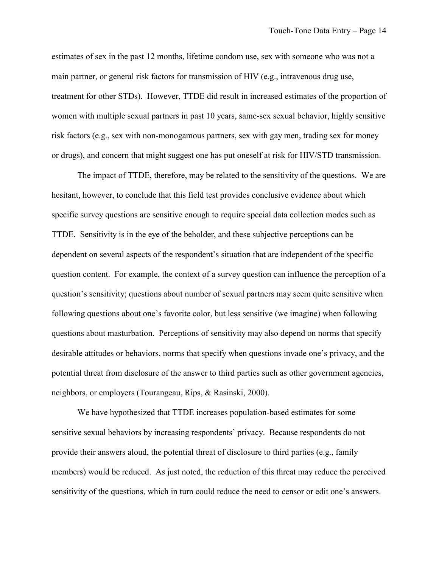estimates of sex in the past 12 months, lifetime condom use, sex with someone who was not a main partner, or general risk factors for transmission of HIV (e.g., intravenous drug use, treatment for other STDs). However, TTDE did result in increased estimates of the proportion of women with multiple sexual partners in past 10 years, same-sex sexual behavior, highly sensitive risk factors (e.g., sex with non-monogamous partners, sex with gay men, trading sex for money or drugs), and concern that might suggest one has put oneself at risk for HIV/STD transmission.

The impact of TTDE, therefore, may be related to the sensitivity of the questions. We are hesitant, however, to conclude that this field test provides conclusive evidence about which specific survey questions are sensitive enough to require special data collection modes such as TTDE. Sensitivity is in the eye of the beholder, and these subjective perceptions can be dependent on several aspects of the respondent's situation that are independent of the specific question content. For example, the context of a survey question can influence the perception of a question's sensitivity; questions about number of sexual partners may seem quite sensitive when following questions about one's favorite color, but less sensitive (we imagine) when following questions about masturbation. Perceptions of sensitivity may also depend on norms that specify desirable attitudes or behaviors, norms that specify when questions invade one's privacy, and the potential threat from disclosure of the answer to third parties such as other government agencies, neighbors, or employers (Tourangeau, Rips, & Rasinski, 2000).

We have hypothesized that TTDE increases population-based estimates for some sensitive sexual behaviors by increasing respondents' privacy. Because respondents do not provide their answers aloud, the potential threat of disclosure to third parties (e.g., family members) would be reduced. As just noted, the reduction of this threat may reduce the perceived sensitivity of the questions, which in turn could reduce the need to censor or edit one's answers.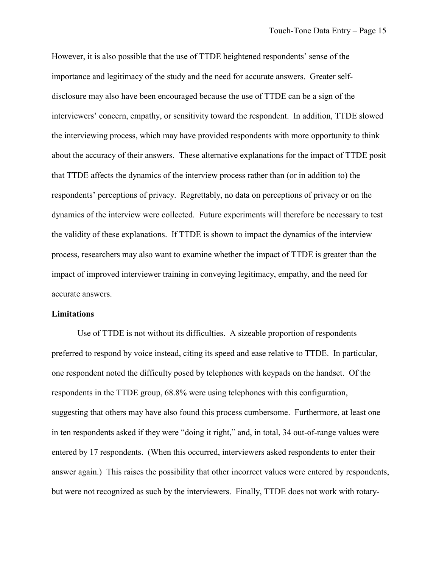However, it is also possible that the use of TTDE heightened respondents' sense of the importance and legitimacy of the study and the need for accurate answers. Greater selfdisclosure may also have been encouraged because the use of TTDE can be a sign of the interviewers' concern, empathy, or sensitivity toward the respondent. In addition, TTDE slowed the interviewing process, which may have provided respondents with more opportunity to think about the accuracy of their answers. These alternative explanations for the impact of TTDE posit that TTDE affects the dynamics of the interview process rather than (or in addition to) the respondents' perceptions of privacy. Regrettably, no data on perceptions of privacy or on the dynamics of the interview were collected. Future experiments will therefore be necessary to test the validity of these explanations. If TTDE is shown to impact the dynamics of the interview process, researchers may also want to examine whether the impact of TTDE is greater than the impact of improved interviewer training in conveying legitimacy, empathy, and the need for accurate answers.

### **Limitations**

Use of TTDE is not without its difficulties. A sizeable proportion of respondents preferred to respond by voice instead, citing its speed and ease relative to TTDE. In particular, one respondent noted the difficulty posed by telephones with keypads on the handset. Of the respondents in the TTDE group, 68.8% were using telephones with this configuration, suggesting that others may have also found this process cumbersome. Furthermore, at least one in ten respondents asked if they were "doing it right," and, in total, 34 out-of-range values were entered by 17 respondents. (When this occurred, interviewers asked respondents to enter their answer again.) This raises the possibility that other incorrect values were entered by respondents, but were not recognized as such by the interviewers. Finally, TTDE does not work with rotary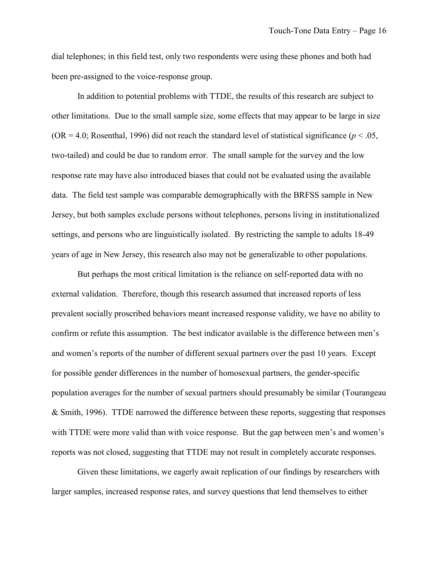dial telephones; in this field test, only two respondents were using these phones and both had been pre-assigned to the voice-response group.

In addition to potential problems with TTDE, the results of this research are subject to other limitations. Due to the small sample size, some effects that may appear to be large in size (OR = 4.0; Rosenthal, 1996) did not reach the standard level of statistical significance ( $p < .05$ , two-tailed) and could be due to random error. The small sample for the survey and the low response rate may have also introduced biases that could not be evaluated using the available data. The field test sample was comparable demographically with the BRFSS sample in New Jersey, but both samples exclude persons without telephones, persons living in institutionalized settings, and persons who are linguistically isolated. By restricting the sample to adults 18-49 years of age in New Jersey, this research also may not be generalizable to other populations.

But perhaps the most critical limitation is the reliance on self-reported data with no external validation. Therefore, though this research assumed that increased reports of less prevalent socially proscribed behaviors meant increased response validity, we have no ability to confirm or refute this assumption. The best indicator available is the difference between men's and women's reports of the number of different sexual partners over the past 10 years. Except for possible gender differences in the number of homosexual partners, the gender-specific population averages for the number of sexual partners should presumably be similar (Tourangeau & Smith, 1996). TTDE narrowed the difference between these reports, suggesting that responses with TTDE were more valid than with voice response. But the gap between men's and women's reports was not closed, suggesting that TTDE may not result in completely accurate responses.

Given these limitations, we eagerly await replication of our findings by researchers with larger samples, increased response rates, and survey questions that lend themselves to either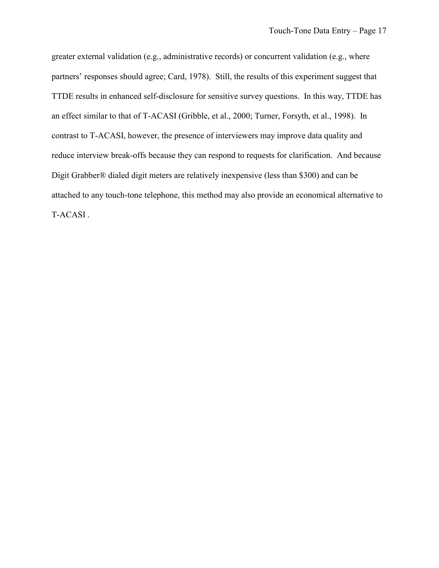greater external validation (e.g., administrative records) or concurrent validation (e.g., where partners' responses should agree; Card, 1978). Still, the results of this experiment suggest that TTDE results in enhanced self-disclosure for sensitive survey questions. In this way, TTDE has an effect similar to that of T-ACASI (Gribble, et al., 2000; Turner, Forsyth, et al., 1998). In contrast to T-ACASI, however, the presence of interviewers may improve data quality and reduce interview break-offs because they can respond to requests for clarification. And because Digit Grabber® dialed digit meters are relatively inexpensive (less than \$300) and can be attached to any touch-tone telephone, this method may also provide an economical alternative to T-ACASI .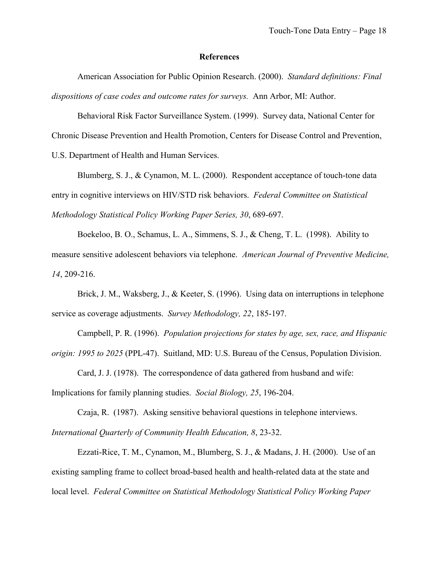### **References**

American Association for Public Opinion Research. (2000). *Standard definitions: Final dispositions of case codes and outcome rates for surveys.* Ann Arbor, MI: Author.

Behavioral Risk Factor Surveillance System. (1999). Survey data, National Center for Chronic Disease Prevention and Health Promotion, Centers for Disease Control and Prevention, U.S. Department of Health and Human Services.

Blumberg, S. J., & Cynamon, M. L. (2000). Respondent acceptance of touch-tone data entry in cognitive interviews on HIV/STD risk behaviors. *Federal Committee on Statistical Methodology Statistical Policy Working Paper Series, 30*, 689-697.

Boekeloo, B. O., Schamus, L. A., Simmens, S. J., & Cheng, T. L. (1998). Ability to measure sensitive adolescent behaviors via telephone. *American Journal of Preventive Medicine, 14*, 209-216.

Brick, J. M., Waksberg, J., & Keeter, S. (1996). Using data on interruptions in telephone service as coverage adjustments. *Survey Methodology, 22*, 185-197.

Campbell, P. R. (1996). *Population projections for states by age, sex, race, and Hispanic origin: 1995 to 2025* (PPL-47). Suitland, MD: U.S. Bureau of the Census, Population Division.

Card, J. J. (1978). The correspondence of data gathered from husband and wife: Implications for family planning studies. *Social Biology, 25*, 196-204.

Czaja, R. (1987). Asking sensitive behavioral questions in telephone interviews. *International Quarterly of Community Health Education, 8*, 23-32.

Ezzati-Rice, T. M., Cynamon, M., Blumberg, S. J., & Madans, J. H. (2000). Use of an existing sampling frame to collect broad-based health and health-related data at the state and local level. *Federal Committee on Statistical Methodology Statistical Policy Working Paper*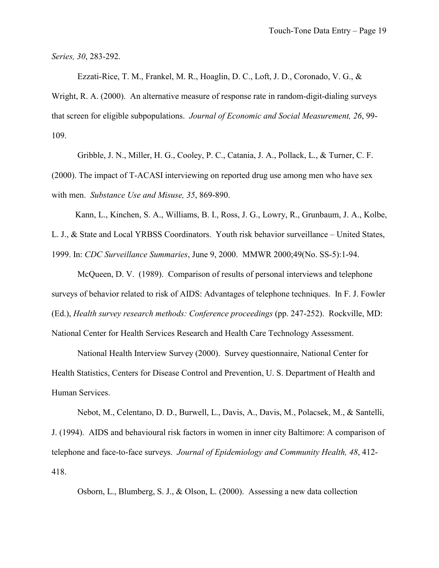*Series, 30*, 283-292.

Ezzati-Rice, T. M., Frankel, M. R., Hoaglin, D. C., Loft, J. D., Coronado, V. G., & Wright, R. A. (2000). An alternative measure of response rate in random-digit-dialing surveys that screen for eligible subpopulations. *Journal of Economic and Social Measurement, 26*, 99 109.

Gribble, J. N., Miller, H. G., Cooley, P. C., Catania, J. A., Pollack, L., & Turner, C. F. (2000). The impact of T-ACASI interviewing on reported drug use among men who have sex with men. *Substance Use and Misuse, 35*, 869-890.

Kann, L., Kinchen, S. A., Williams, B. I., Ross, J. G., Lowry, R., Grunbaum, J. A., Kolbe,

L. J., & State and Local YRBSS Coordinators. Youth risk behavior surveillance – United States, 1999. In: *CDC Surveillance Summaries*, June 9, 2000. MMWR 2000;49(No. SS-5):1-94.

McQueen, D. V. (1989). Comparison of results of personal interviews and telephone surveys of behavior related to risk of AIDS: Advantages of telephone techniques. In F. J. Fowler (Ed.), *Health survey research methods: Conference proceedings* (pp. 247-252). Rockville, MD: National Center for Health Services Research and Health Care Technology Assessment.

National Health Interview Survey (2000). Survey questionnaire, National Center for Health Statistics, Centers for Disease Control and Prevention, U. S. Department of Health and Human Services.

Nebot, M., Celentano, D. D., Burwell, L., Davis, A., Davis, M., Polacsek, M., & Santelli, J. (1994). AIDS and behavioural risk factors in women in inner city Baltimore: A comparison of telephone and face-to-face surveys. *Journal of Epidemiology and Community Health, 48*, 412 418.

Osborn, L., Blumberg, S. J., & Olson, L. (2000). Assessing a new data collection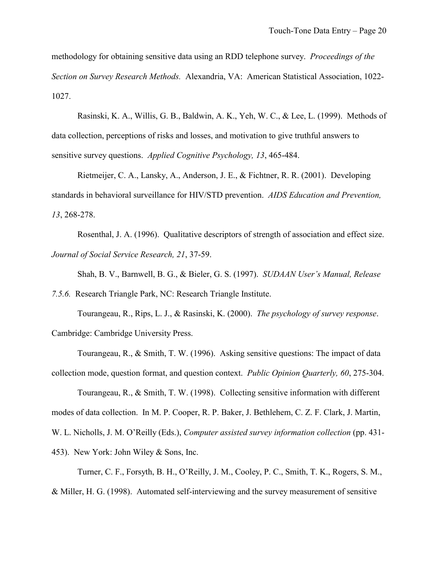methodology for obtaining sensitive data using an RDD telephone survey. *Proceedings of the Section on Survey Research Methods.* Alexandria, VA: American Statistical Association, 1022 1027.

Rasinski, K. A., Willis, G. B., Baldwin, A. K., Yeh, W. C., & Lee, L. (1999). Methods of data collection, perceptions of risks and losses, and motivation to give truthful answers to sensitive survey questions. *Applied Cognitive Psychology, 13*, 465-484.

Rietmeijer, C. A., Lansky, A., Anderson, J. E., & Fichtner, R. R. (2001). Developing standards in behavioral surveillance for HIV/STD prevention. *AIDS Education and Prevention, 13*, 268-278.

Rosenthal, J. A. (1996). Qualitative descriptors of strength of association and effect size. *Journal of Social Service Research, 21*, 37-59.

Shah, B. V., Barnwell, B. G., & Bieler, G. S. (1997). *SUDAAN User's Manual, Release* 

*7.5.6.* Research Triangle Park, NC: Research Triangle Institute.

Tourangeau, R., Rips, L. J., & Rasinski, K. (2000). *The psychology of survey response*. Cambridge: Cambridge University Press.

Tourangeau, R., & Smith, T. W. (1996). Asking sensitive questions: The impact of data collection mode, question format, and question context. *Public Opinion Quarterly, 60*, 275-304.

Tourangeau, R., & Smith, T. W. (1998). Collecting sensitive information with different modes of data collection. In M. P. Cooper, R. P. Baker, J. Bethlehem, C. Z. F. Clark, J. Martin, W. L. Nicholls, J. M. O'Reilly (Eds.), *Computer assisted survey information collection* (pp. 431 453). New York: John Wiley & Sons, Inc.

Turner, C. F., Forsyth, B. H., O'Reilly, J. M., Cooley, P. C., Smith, T. K., Rogers, S. M., & Miller, H. G. (1998). Automated self-interviewing and the survey measurement of sensitive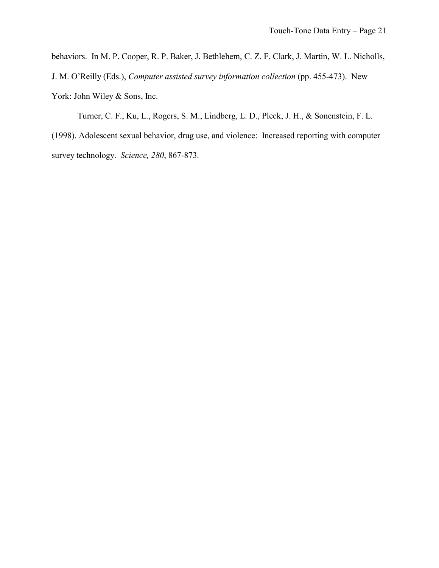behaviors. In M. P. Cooper, R. P. Baker, J. Bethlehem, C. Z. F. Clark, J. Martin, W. L. Nicholls, J. M. O'Reilly (Eds.), *Computer assisted survey information collection* (pp. 455-473). New York: John Wiley & Sons, Inc.

Turner, C. F., Ku, L., Rogers, S. M., Lindberg, L. D., Pleck, J. H., & Sonenstein, F. L. (1998). Adolescent sexual behavior, drug use, and violence: Increased reporting with computer survey technology. *Science, 280*, 867-873.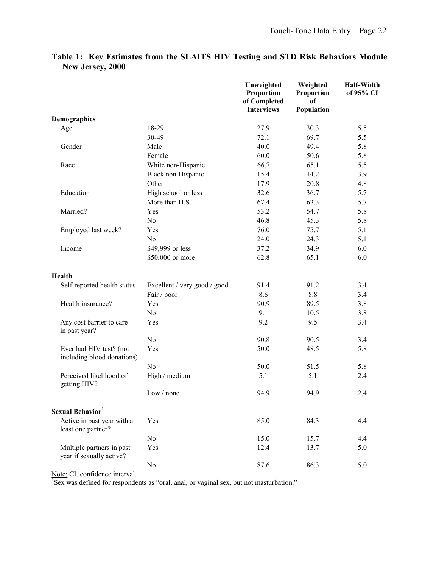|                                                       |                              | Unweighted<br>Proportion | Weighted<br>Proportion | <b>Half-Width</b><br>of 95% CI |
|-------------------------------------------------------|------------------------------|--------------------------|------------------------|--------------------------------|
|                                                       |                              | of Completed             | of                     |                                |
|                                                       |                              | <b>Interviews</b>        | Population             |                                |
| Demographics                                          |                              |                          |                        |                                |
| Age                                                   | 18-29                        | 27.9                     | 30.3                   | 5.5                            |
|                                                       | 30-49                        | 72.1                     | 69.7                   | 5.5                            |
| Gender                                                | Male                         | 40.0                     | 49.4                   | 5.8                            |
|                                                       | Female                       | 60.0                     | 50.6                   | 5.8                            |
| Race                                                  | White non-Hispanic           | 66.7                     | 65.1                   | 5.5                            |
|                                                       | Black non-Hispanic           | 15.4                     | 14.2                   | 3.9                            |
|                                                       | Other                        | 17.9                     | 20.8                   | 4.8                            |
| Education                                             | High school or less          | 32.6                     | 36.7                   | 5.7                            |
|                                                       | More than H.S.               | 67.4                     | 63.3                   | 5.7                            |
| Married?                                              | Yes                          | 53.2                     | 54.7                   | 5.8                            |
|                                                       | N <sub>0</sub>               | 46.8                     | 45.3                   | 5.8                            |
| Employed last week?                                   | Yes                          | 76.0                     | 75.7                   | 5.1                            |
|                                                       | No                           | 24.0                     | 24.3                   | 5.1                            |
| Income                                                | \$49,999 or less             | 37.2                     | 34.9                   | 6.0                            |
|                                                       | \$50,000 or more             | 62.8                     | 65.1                   | 6.0                            |
| <b>Health</b>                                         |                              |                          |                        |                                |
| Self-reported health status                           | Excellent / very good / good | 91.4                     | 91.2                   | 3.4                            |
|                                                       | Fair / poor                  | 8.6                      | 8.8                    | 3.4                            |
| Health insurance?                                     | Yes                          | 90.9                     | 89.5                   | 3.8                            |
|                                                       | No                           | 9.1                      | 10.5                   | 3.8                            |
| Any cost barrier to care<br>in past year?             | Yes                          | 9.2                      | 9.5                    | 3.4                            |
|                                                       | N <sub>0</sub>               | 90.8                     | 90.5                   | 3.4                            |
| Ever had HIV test? (not<br>including blood donations) | Yes                          | 50.0                     | 48.5                   | 5.8                            |
|                                                       | N <sub>0</sub>               | 50.0                     | 51.5                   | 5.8                            |
| Perceived likelihood of<br>getting HIV?               | High / medium                | 5.1                      | 5.1                    | 2.4                            |
|                                                       | Low / none                   | 94.9                     | 94.9                   | 2.4                            |
| Sexual Behavior <sup>1</sup>                          |                              |                          |                        |                                |
| Active in past year with at<br>least one partner?     | Yes                          | 85.0                     | 84.3                   | 4.4                            |
|                                                       | No                           | 15.0                     | 15.7                   | 4.4                            |
| Multiple partners in past<br>year if sexually active? | Yes                          | 12.4                     | 13.7                   | 5.0                            |
|                                                       | No                           | 87.6                     | 86.3                   | 5.0                            |

# **Table 1: Key Estimates from the SLAITS HIV Testing and STD Risk Behaviors Module ― New Jersey, 2000**

Note: CI, confidence interval.<br><sup>1</sup>Sex was defined for respondents as "oral, anal, or vaginal sex, but not masturbation."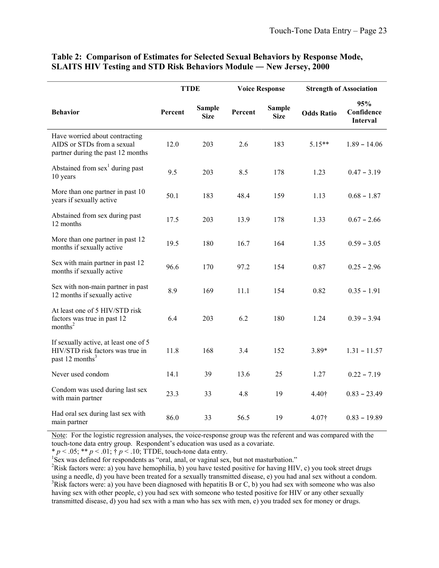|                                                                                                          | <b>TTDE</b> |                              | <b>Voice Response</b> |                              | <b>Strength of Association</b> |                                      |
|----------------------------------------------------------------------------------------------------------|-------------|------------------------------|-----------------------|------------------------------|--------------------------------|--------------------------------------|
| <b>Behavior</b>                                                                                          | Percent     | <b>Sample</b><br><b>Size</b> | Percent               | <b>Sample</b><br><b>Size</b> | <b>Odds Ratio</b>              | 95%<br>Confidence<br><b>Interval</b> |
| Have worried about contracting<br>AIDS or STDs from a sexual<br>partner during the past 12 months        | 12.0        | 203                          | 2.6                   | 183                          | $5.15**$                       | $1.89 - 14.06$                       |
| Abstained from $sex1$ during past<br>10 years                                                            | 9.5         | 203                          | 8.5                   | 178                          | 1.23                           | $0.47 - 3.19$                        |
| More than one partner in past 10<br>years if sexually active                                             | 50.1        | 183                          | 48.4                  | 159                          | 1.13                           | $0.68 - 1.87$                        |
| Abstained from sex during past<br>12 months                                                              | 17.5        | 203                          | 13.9                  | 178                          | 1.33                           | $0.67 - 2.66$                        |
| More than one partner in past 12<br>months if sexually active                                            | 19.5        | 180                          | 16.7                  | 164                          | 1.35                           | $0.59 - 3.05$                        |
| Sex with main partner in past 12<br>months if sexually active                                            | 96.6        | 170                          | 97.2                  | 154                          | 0.87                           | $0.25 - 2.96$                        |
| Sex with non-main partner in past<br>12 months if sexually active                                        | 8.9         | 169                          | 11.1                  | 154                          | 0.82                           | $0.35 - 1.91$                        |
| At least one of 5 HIV/STD risk<br>factors was true in past 12<br>months <sup>2</sup>                     | 6.4         | 203                          | 6.2                   | 180                          | 1.24                           | $0.39 - 3.94$                        |
| If sexually active, at least one of 5<br>HIV/STD risk factors was true in<br>past 12 months <sup>3</sup> | 11.8        | 168                          | 3.4                   | 152                          | $3.89*$                        | $1.31 - 11.57$                       |
| Never used condom                                                                                        | 14.1        | 39                           | 13.6                  | 25                           | 1.27                           | $0.22 - 7.19$                        |
| Condom was used during last sex<br>with main partner                                                     | 23.3        | 33                           | 4.8                   | 19                           | 4.40†                          | $0.83 - 23.49$                       |
| Had oral sex during last sex with<br>main partner                                                        | 86.0        | 33                           | 56.5                  | 19                           | 4.07†                          | $0.83 - 19.89$                       |

### **Table 2: Comparison of Estimates for Selected Sexual Behaviors by Response Mode, SLAITS HIV Testing and STD Risk Behaviors Module — New Jersey, 2000**

Note: For the logistic regression analyses, the voice-response group was the referent and was compared with the touch-tone data entry group. Respondent's education was used as a covariate.

\*  $p < .05$ ; \*\*  $p < .01$ ;  $\dagger p < .10$ ; TTDE, touch-tone data entry.

<sup>1</sup>Sex was defined for respondents as "oral, anal, or vaginal sex, but not masturbation."

<sup>2</sup>Risk factors were: a) you have hemophilia, b) you have tested positive for having HIV, c) you took street drugs using a needle, d) you have been treated for a sexually transmitted disease, e) you had anal sex without a condom.  $3$ Risk factors were: a) you have been diagnosed with hepatitis B or C, b) you had sex with someone who was also having sex with other people, c) you had sex with someone who tested positive for HIV or any other sexually transmitted disease, d) you had sex with a man who has sex with men, e) you traded sex for money or drugs.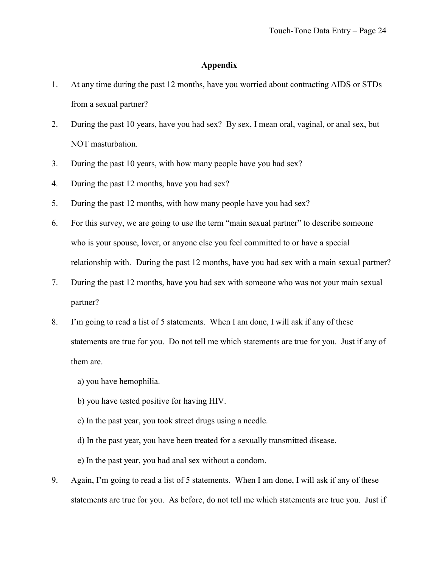# **Appendix**

- 1. At any time during the past 12 months, have you worried about contracting AIDS or STDs from a sexual partner?
- 2. During the past 10 years, have you had sex? By sex, I mean oral, vaginal, or anal sex, but NOT masturbation.
- 3. During the past 10 years, with how many people have you had sex?
- 4. During the past 12 months, have you had sex?
- 5. During the past 12 months, with how many people have you had sex?
- 6. For this survey, we are going to use the term "main sexual partner" to describe someone who is your spouse, lover, or anyone else you feel committed to or have a special relationship with. During the past 12 months, have you had sex with a main sexual partner?
- 7. During the past 12 months, have you had sex with someone who was not your main sexual partner?
- 8. I'm going to read a list of 5 statements. When I am done, I will ask if any of these statements are true for you. Do not tell me which statements are true for you. Just if any of them are.
	- a) you have hemophilia.
	- b) you have tested positive for having HIV.
	- c) In the past year, you took street drugs using a needle.
	- d) In the past year, you have been treated for a sexually transmitted disease.
	- e) In the past year, you had anal sex without a condom.
- 9. Again, I'm going to read a list of 5 statements. When I am done, I will ask if any of these statements are true for you. As before, do not tell me which statements are true you. Just if